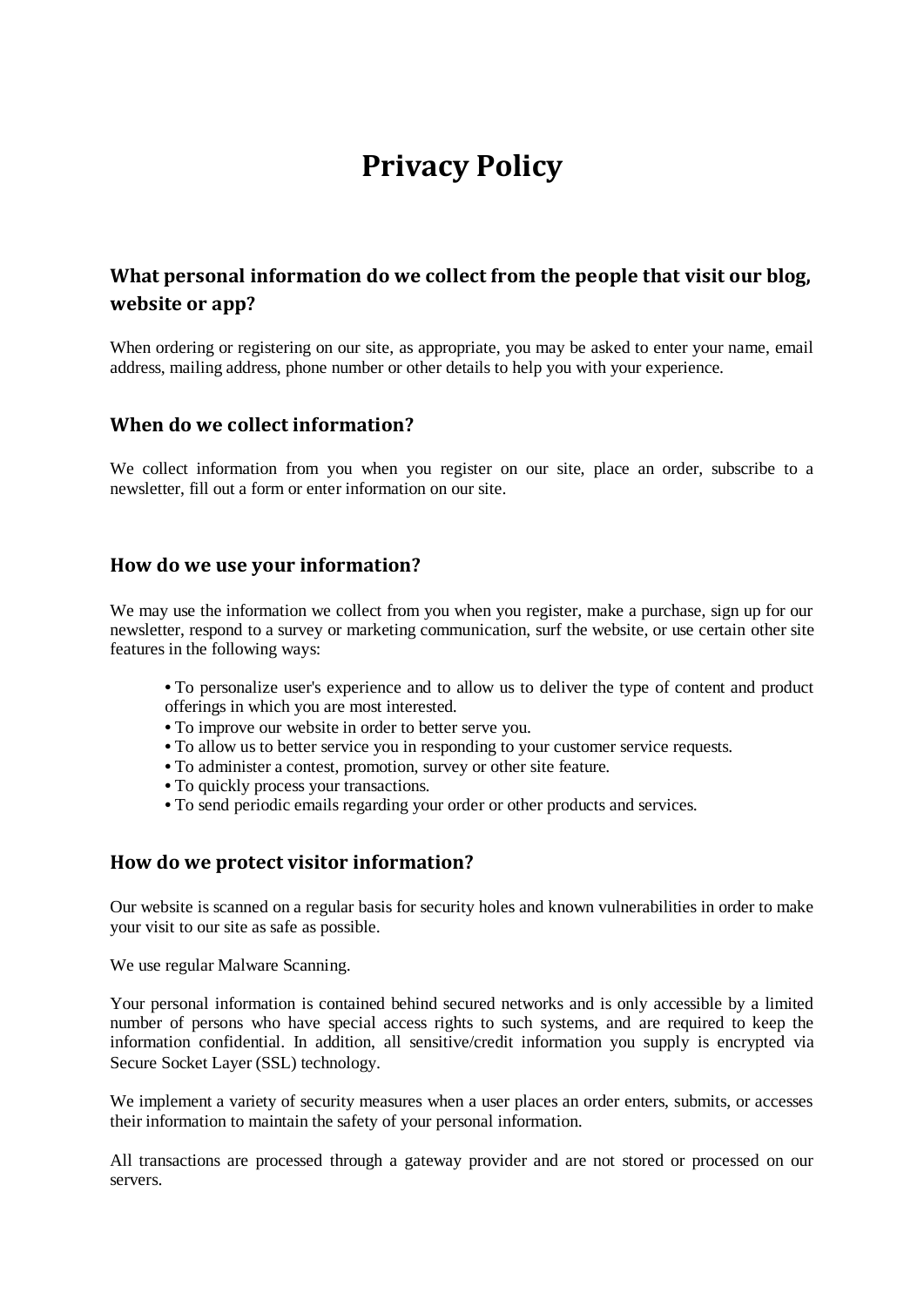# **Privacy Policy**

# **What personal information do we collect from the people that visit our blog, website or app?**

When ordering or registering on our site, as appropriate, you may be asked to enter your name, email address, mailing address, phone number or other details to help you with your experience.

#### **When do we collect information?**

We collect information from you when you register on our site, place an order, subscribe to a newsletter, fill out a form or enter information on our site.

#### **How do we use your information?**

We may use the information we collect from you when you register, make a purchase, sign up for our newsletter, respond to a survey or marketing communication, surf the website, or use certain other site features in the following ways:

- **•** To personalize user's experience and to allow us to deliver the type of content and product offerings in which you are most interested.
- **•** To improve our website in order to better serve you.
- **•** To allow us to better service you in responding to your customer service requests.
- **•** To administer a contest, promotion, survey or other site feature.
- **•** To quickly process your transactions.
- **•** To send periodic emails regarding your order or other products and services.

#### **How do we protect visitor information?**

Our website is scanned on a regular basis for security holes and known vulnerabilities in order to make your visit to our site as safe as possible.

We use regular Malware Scanning.

Your personal information is contained behind secured networks and is only accessible by a limited number of persons who have special access rights to such systems, and are required to keep the information confidential. In addition, all sensitive/credit information you supply is encrypted via Secure Socket Layer (SSL) technology.

We implement a variety of security measures when a user places an order enters, submits, or accesses their information to maintain the safety of your personal information.

All transactions are processed through a gateway provider and are not stored or processed on our servers.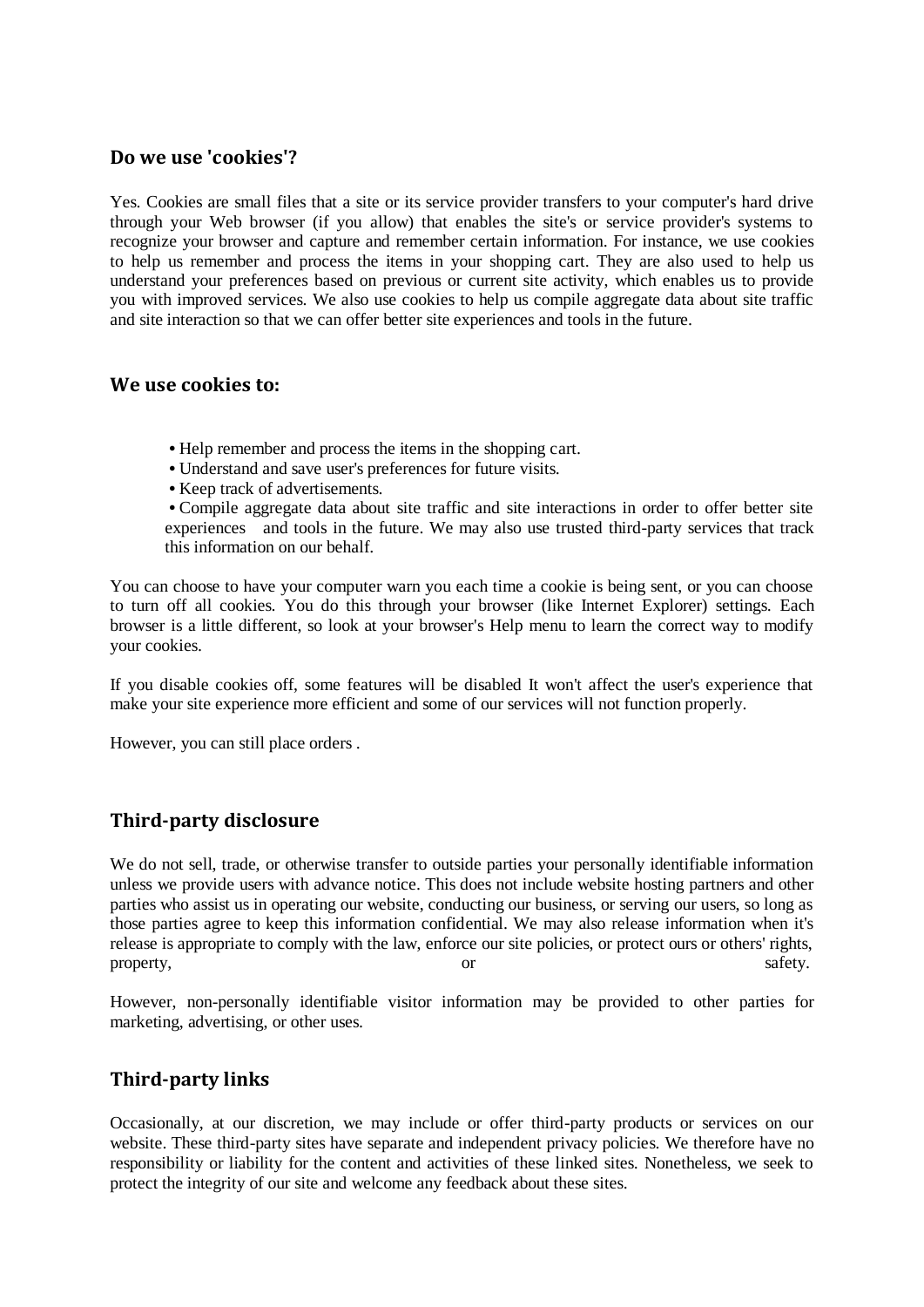#### **Do we use 'cookies'?**

Yes. Cookies are small files that a site or its service provider transfers to your computer's hard drive through your Web browser (if you allow) that enables the site's or service provider's systems to recognize your browser and capture and remember certain information. For instance, we use cookies to help us remember and process the items in your shopping cart. They are also used to help us understand your preferences based on previous or current site activity, which enables us to provide you with improved services. We also use cookies to help us compile aggregate data about site traffic and site interaction so that we can offer better site experiences and tools in the future.

#### **We use cookies to:**

- **•** Help remember and process the items in the shopping cart.
- **•** Understand and save user's preferences for future visits.
- **•** Keep track of advertisements.

**•** Compile aggregate data about site traffic and site interactions in order to offer better site experiences and tools in the future. We may also use trusted third-party services that track this information on our behalf.

You can choose to have your computer warn you each time a cookie is being sent, or you can choose to turn off all cookies. You do this through your browser (like Internet Explorer) settings. Each browser is a little different, so look at your browser's Help menu to learn the correct way to modify your cookies.

If you disable cookies off, some features will be disabled It won't affect the user's experience that make your site experience more efficient and some of our services will not function properly.

However, you can still place orders .

#### **Third-party disclosure**

We do not sell, trade, or otherwise transfer to outside parties your personally identifiable information unless we provide users with advance notice. This does not include website hosting partners and other parties who assist us in operating our website, conducting our business, or serving our users, so long as those parties agree to keep this information confidential. We may also release information when it's release is appropriate to comply with the law, enforce our site policies, or protect ours or others' rights, property, safety.

However, non-personally identifiable visitor information may be provided to other parties for marketing, advertising, or other uses.

#### **Third-party links**

Occasionally, at our discretion, we may include or offer third-party products or services on our website. These third-party sites have separate and independent privacy policies. We therefore have no responsibility or liability for the content and activities of these linked sites. Nonetheless, we seek to protect the integrity of our site and welcome any feedback about these sites.